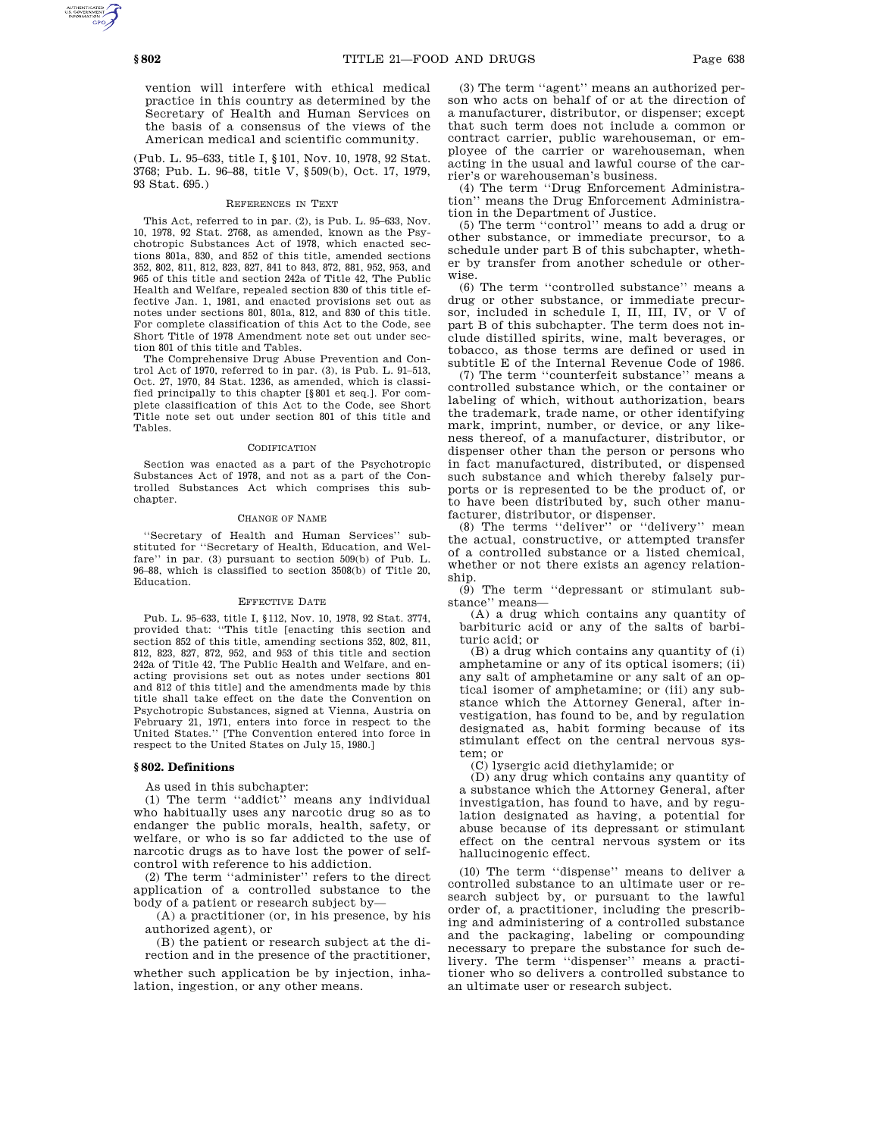vention will interfere with ethical medical practice in this country as determined by the Secretary of Health and Human Services on the basis of a consensus of the views of the American medical and scientific community.

(Pub. L. 95–633, title I, §101, Nov. 10, 1978, 92 Stat. 3768; Pub. L. 96–88, title V, §509(b), Oct. 17, 1979, 93 Stat. 695.)

### REFERENCES IN TEXT

This Act, referred to in par. (2), is Pub. L. 95–633, Nov. 10, 1978, 92 Stat. 2768, as amended, known as the Psychotropic Substances Act of 1978, which enacted sections 801a, 830, and 852 of this title, amended sections 352, 802, 811, 812, 823, 827, 841 to 843, 872, 881, 952, 953, and 965 of this title and section 242a of Title 42, The Public Health and Welfare, repealed section 830 of this title effective Jan. 1, 1981, and enacted provisions set out as notes under sections 801, 801a, 812, and 830 of this title. For complete classification of this Act to the Code, see Short Title of 1978 Amendment note set out under section 801 of this title and Tables.

The Comprehensive Drug Abuse Prevention and Control Act of 1970, referred to in par. (3), is Pub. L. 91–513, Oct. 27, 1970, 84 Stat. 1236, as amended, which is classified principally to this chapter [§801 et seq.]. For complete classification of this Act to the Code, see Short Title note set out under section 801 of this title and Tables.

## CODIFICATION

Section was enacted as a part of the Psychotropic Substances Act of 1978, and not as a part of the Controlled Substances Act which comprises this subchapter.

### CHANGE OF NAME

''Secretary of Health and Human Services'' substituted for ''Secretary of Health, Education, and Welfare'' in par. (3) pursuant to section 509(b) of Pub. L. 96–88, which is classified to section 3508(b) of Title 20, Education.

## EFFECTIVE DATE

Pub. L. 95–633, title I, §112, Nov. 10, 1978, 92 Stat. 3774, provided that: ''This title [enacting this section and section 852 of this title, amending sections 352, 802, 811, 812, 823, 827, 872, 952, and 953 of this title and section 242a of Title 42, The Public Health and Welfare, and enacting provisions set out as notes under sections 801 and 812 of this title] and the amendments made by this title shall take effect on the date the Convention on Psychotropic Substances, signed at Vienna, Austria on February 21, 1971, enters into force in respect to the United States.'' [The Convention entered into force in respect to the United States on July 15, 1980.]

#### **§ 802. Definitions**

As used in this subchapter:

(1) The term ''addict'' means any individual who habitually uses any narcotic drug so as to endanger the public morals, health, safety, or welfare, or who is so far addicted to the use of narcotic drugs as to have lost the power of selfcontrol with reference to his addiction.

(2) The term ''administer'' refers to the direct application of a controlled substance to the body of a patient or research subject by—

(A) a practitioner (or, in his presence, by his authorized agent), or

(B) the patient or research subject at the direction and in the presence of the practitioner,

whether such application be by injection, inhalation, ingestion, or any other means.

(3) The term ''agent'' means an authorized person who acts on behalf of or at the direction of a manufacturer, distributor, or dispenser; except that such term does not include a common or contract carrier, public warehouseman, or employee of the carrier or warehouseman, when acting in the usual and lawful course of the carrier's or warehouseman's business.

(4) The term ''Drug Enforcement Administration'' means the Drug Enforcement Administration in the Department of Justice.

(5) The term ''control'' means to add a drug or other substance, or immediate precursor, to a schedule under part B of this subchapter, whether by transfer from another schedule or otherwise.

(6) The term ''controlled substance'' means a drug or other substance, or immediate precursor, included in schedule I, II, III, IV, or V of part B of this subchapter. The term does not include distilled spirits, wine, malt beverages, or tobacco, as those terms are defined or used in subtitle E of the Internal Revenue Code of 1986.

(7) The term ''counterfeit substance'' means a controlled substance which, or the container or labeling of which, without authorization, bears the trademark, trade name, or other identifying mark, imprint, number, or device, or any likeness thereof, of a manufacturer, distributor, or dispenser other than the person or persons who in fact manufactured, distributed, or dispensed such substance and which thereby falsely purports or is represented to be the product of, or to have been distributed by, such other manufacturer, distributor, or dispenser.

(8) The terms ''deliver'' or ''delivery'' mean the actual, constructive, or attempted transfer of a controlled substance or a listed chemical, whether or not there exists an agency relationship.

(9) The term ''depressant or stimulant substance'' means—

(A) a drug which contains any quantity of barbituric acid or any of the salts of barbituric acid; or

(B) a drug which contains any quantity of (i) amphetamine or any of its optical isomers; (ii) any salt of amphetamine or any salt of an optical isomer of amphetamine; or (iii) any substance which the Attorney General, after investigation, has found to be, and by regulation designated as, habit forming because of its stimulant effect on the central nervous system; or

(C) lysergic acid diethylamide; or

(D) any drug which contains any quantity of a substance which the Attorney General, after investigation, has found to have, and by regulation designated as having, a potential for abuse because of its depressant or stimulant effect on the central nervous system or its hallucinogenic effect.

(10) The term ''dispense'' means to deliver a controlled substance to an ultimate user or research subject by, or pursuant to the lawful order of, a practitioner, including the prescribing and administering of a controlled substance and the packaging, labeling or compounding necessary to prepare the substance for such delivery. The term ''dispenser'' means a practitioner who so delivers a controlled substance to an ultimate user or research subject.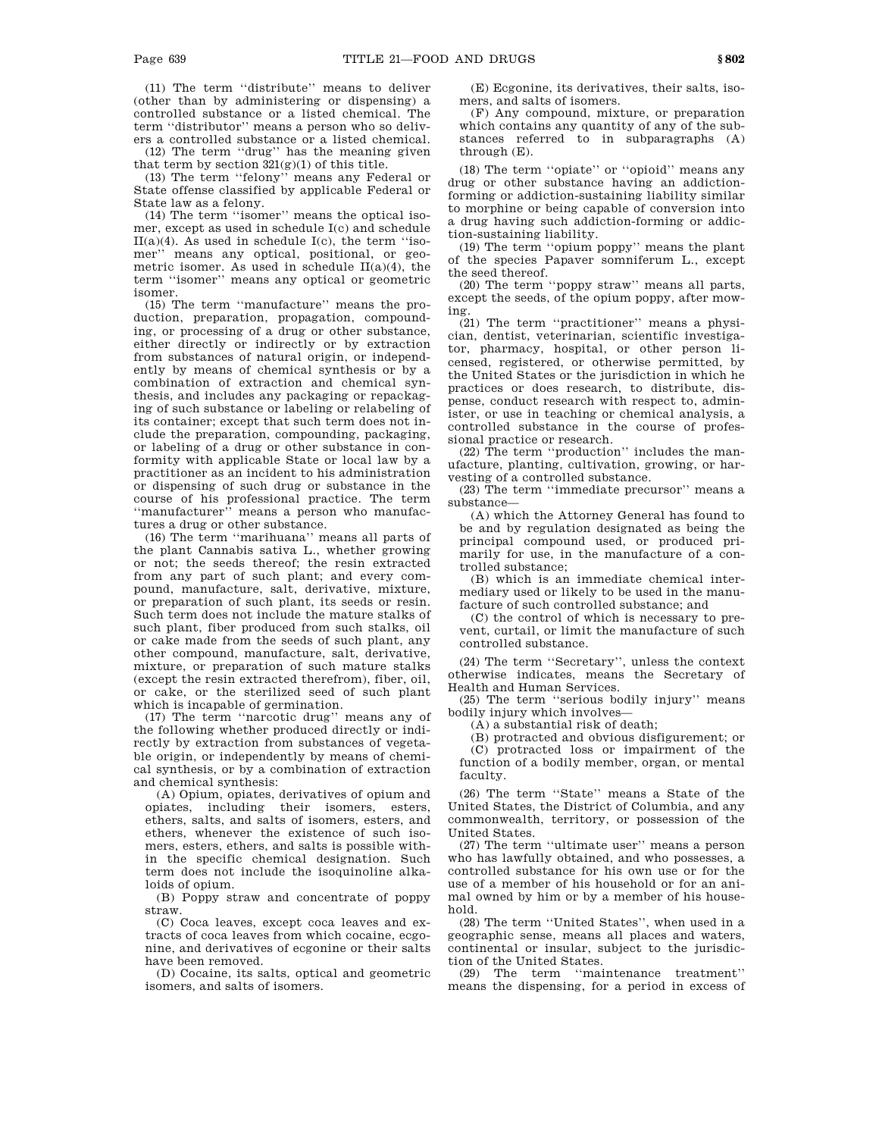(11) The term ''distribute'' means to deliver (other than by administering or dispensing) a controlled substance or a listed chemical. The term ''distributor'' means a person who so delivers a controlled substance or a listed chemical.

(12) The term ''drug'' has the meaning given that term by section  $321(g)(1)$  of this title.

(13) The term ''felony'' means any Federal or State offense classified by applicable Federal or State law as a felony.

(14) The term ''isomer'' means the optical isomer, except as used in schedule I(c) and schedule  $II(a)(4)$ . As used in schedule  $I(c)$ , the term "isomer'' means any optical, positional, or geometric isomer. As used in schedule II(a)(4), the term ''isomer'' means any optical or geometric isomer.

(15) The term ''manufacture'' means the production, preparation, propagation, compounding, or processing of a drug or other substance, either directly or indirectly or by extraction from substances of natural origin, or independently by means of chemical synthesis or by a combination of extraction and chemical synthesis, and includes any packaging or repackaging of such substance or labeling or relabeling of its container; except that such term does not include the preparation, compounding, packaging, or labeling of a drug or other substance in conformity with applicable State or local law by a practitioner as an incident to his administration or dispensing of such drug or substance in the course of his professional practice. The term "manufacturer" means a person who manufactures a drug or other substance.

(16) The term ''marihuana'' means all parts of the plant Cannabis sativa L., whether growing or not; the seeds thereof; the resin extracted from any part of such plant; and every compound, manufacture, salt, derivative, mixture, or preparation of such plant, its seeds or resin. Such term does not include the mature stalks of such plant, fiber produced from such stalks, oil or cake made from the seeds of such plant, any other compound, manufacture, salt, derivative, mixture, or preparation of such mature stalks (except the resin extracted therefrom), fiber, oil, or cake, or the sterilized seed of such plant which is incapable of germination.

(17) The term ''narcotic drug'' means any of the following whether produced directly or indirectly by extraction from substances of vegetable origin, or independently by means of chemical synthesis, or by a combination of extraction and chemical synthesis:

(A) Opium, opiates, derivatives of opium and opiates, including their isomers, esters, ethers, salts, and salts of isomers, esters, and ethers, whenever the existence of such isomers, esters, ethers, and salts is possible within the specific chemical designation. Such term does not include the isoquinoline alkaloids of opium.

(B) Poppy straw and concentrate of poppy straw.

(C) Coca leaves, except coca leaves and extracts of coca leaves from which cocaine, ecgonine, and derivatives of ecgonine or their salts have been removed.

(D) Cocaine, its salts, optical and geometric isomers, and salts of isomers.

(E) Ecgonine, its derivatives, their salts, isomers, and salts of isomers.

(F) Any compound, mixture, or preparation which contains any quantity of any of the substances referred to in subparagraphs (A) through (E).

(18) The term ''opiate'' or ''opioid'' means any drug or other substance having an addictionforming or addiction-sustaining liability similar to morphine or being capable of conversion into a drug having such addiction-forming or addiction-sustaining liability.

(19) The term ''opium poppy'' means the plant of the species Papaver somniferum L., except the seed thereof.

(20) The term ''poppy straw'' means all parts, except the seeds, of the opium poppy, after mowing.

(21) The term ''practitioner'' means a physician, dentist, veterinarian, scientific investigator, pharmacy, hospital, or other person licensed, registered, or otherwise permitted, by the United States or the jurisdiction in which he practices or does research, to distribute, dispense, conduct research with respect to, administer, or use in teaching or chemical analysis, a controlled substance in the course of professional practice or research.

(22) The term ''production'' includes the manufacture, planting, cultivation, growing, or harvesting of a controlled substance.

(23) The term ''immediate precursor'' means a substance—

(A) which the Attorney General has found to be and by regulation designated as being the principal compound used, or produced primarily for use, in the manufacture of a controlled substance;

(B) which is an immediate chemical intermediary used or likely to be used in the manufacture of such controlled substance; and

(C) the control of which is necessary to prevent, curtail, or limit the manufacture of such controlled substance.

(24) The term ''Secretary'', unless the context otherwise indicates, means the Secretary of Health and Human Services.

(25) The term ''serious bodily injury'' means bodily injury which involves—

(A) a substantial risk of death;

(B) protracted and obvious disfigurement; or

(C) protracted loss or impairment of the function of a bodily member, organ, or mental faculty.

(26) The term ''State'' means a State of the United States, the District of Columbia, and any commonwealth, territory, or possession of the United States.

(27) The term ''ultimate user'' means a person who has lawfully obtained, and who possesses, a controlled substance for his own use or for the use of a member of his household or for an animal owned by him or by a member of his household.

(28) The term ''United States'', when used in a geographic sense, means all places and waters, continental or insular, subject to the jurisdiction of the United States.

(29) The term ''maintenance treatment'' means the dispensing, for a period in excess of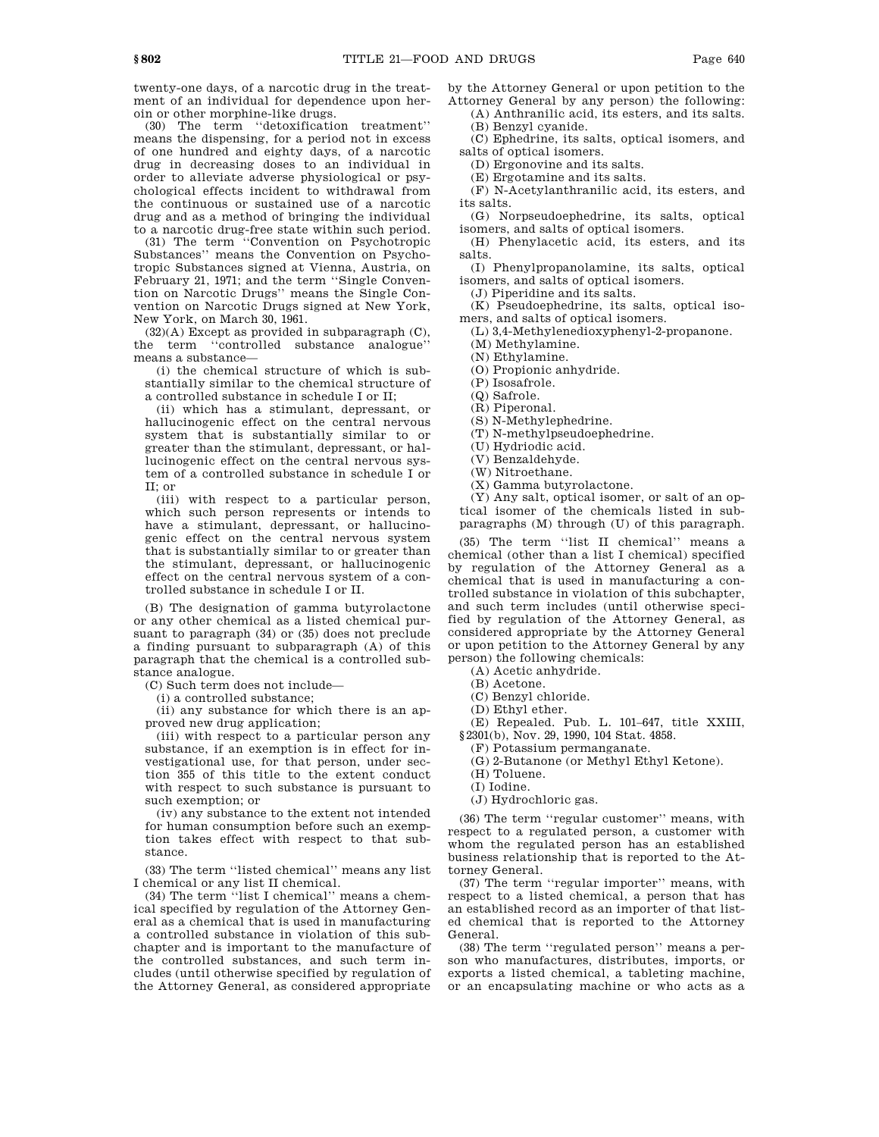twenty-one days, of a narcotic drug in the treatment of an individual for dependence upon heroin or other morphine-like drugs.

(30) The term ''detoxification treatment'' means the dispensing, for a period not in excess of one hundred and eighty days, of a narcotic drug in decreasing doses to an individual in order to alleviate adverse physiological or psychological effects incident to withdrawal from the continuous or sustained use of a narcotic drug and as a method of bringing the individual to a narcotic drug-free state within such period.

(31) The term ''Convention on Psychotropic Substances'' means the Convention on Psychotropic Substances signed at Vienna, Austria, on February 21, 1971; and the term ''Single Convention on Narcotic Drugs'' means the Single Convention on Narcotic Drugs signed at New York, New York, on March 30, 1961.

(32)(A) Except as provided in subparagraph (C), the term ''controlled substance analogue'' means a substance—

(i) the chemical structure of which is substantially similar to the chemical structure of a controlled substance in schedule I or II;

(ii) which has a stimulant, depressant, or hallucinogenic effect on the central nervous system that is substantially similar to or greater than the stimulant, depressant, or hallucinogenic effect on the central nervous system of a controlled substance in schedule I or II; or

(iii) with respect to a particular person, which such person represents or intends to have a stimulant, depressant, or hallucinogenic effect on the central nervous system that is substantially similar to or greater than the stimulant, depressant, or hallucinogenic effect on the central nervous system of a controlled substance in schedule I or II.

(B) The designation of gamma butyrolactone or any other chemical as a listed chemical pursuant to paragraph (34) or (35) does not preclude a finding pursuant to subparagraph (A) of this paragraph that the chemical is a controlled substance analogue.

(C) Such term does not include—

(i) a controlled substance;

(ii) any substance for which there is an approved new drug application;

(iii) with respect to a particular person any substance, if an exemption is in effect for investigational use, for that person, under section 355 of this title to the extent conduct with respect to such substance is pursuant to such exemption; or

(iv) any substance to the extent not intended for human consumption before such an exemption takes effect with respect to that substance.

(33) The term ''listed chemical'' means any list I chemical or any list II chemical.

(34) The term ''list I chemical'' means a chemical specified by regulation of the Attorney General as a chemical that is used in manufacturing a controlled substance in violation of this subchapter and is important to the manufacture of the controlled substances, and such term includes (until otherwise specified by regulation of the Attorney General, as considered appropriate

by the Attorney General or upon petition to the Attorney General by any person) the following:

(A) Anthranilic acid, its esters, and its salts. (B) Benzyl cyanide.

(C) Ephedrine, its salts, optical isomers, and salts of optical isomers.

(D) Ergonovine and its salts.

(E) Ergotamine and its salts.

(F) N-Acetylanthranilic acid, its esters, and its salts.

(G) Norpseudoephedrine, its salts, optical isomers, and salts of optical isomers.

(H) Phenylacetic acid, its esters, and its salts.

(I) Phenylpropanolamine, its salts, optical isomers, and salts of optical isomers.

(J) Piperidine and its salts.

(K) Pseudoephedrine, its salts, optical isomers, and salts of optical isomers.

(L) 3,4-Methylenedioxyphenyl-2-propanone.

(M) Methylamine.

(N) Ethylamine.

(O) Propionic anhydride.

(P) Isosafrole.

(Q) Safrole.

(R) Piperonal.

(S) N-Methylephedrine.

(T) N-methylpseudoephedrine.

(U) Hydriodic acid.

(V) Benzaldehyde.

(W) Nitroethane.

(X) Gamma butyrolactone.

(Y) Any salt, optical isomer, or salt of an optical isomer of the chemicals listed in subparagraphs (M) through (U) of this paragraph.

(35) The term ''list II chemical'' means a chemical (other than a list I chemical) specified by regulation of the Attorney General as a chemical that is used in manufacturing a controlled substance in violation of this subchapter, and such term includes (until otherwise specified by regulation of the Attorney General, as considered appropriate by the Attorney General or upon petition to the Attorney General by any person) the following chemicals:

(A) Acetic anhydride.

(B) Acetone.

(C) Benzyl chloride.

(D) Ethyl ether.

(E) Repealed. Pub. L. 101–647, title XXIII, §2301(b), Nov. 29, 1990, 104 Stat. 4858.

(F) Potassium permanganate.

(G) 2-Butanone (or Methyl Ethyl Ketone).

(H) Toluene.

(I) Iodine.

(J) Hydrochloric gas.

(36) The term ''regular customer'' means, with respect to a regulated person, a customer with whom the regulated person has an established business relationship that is reported to the Attorney General.

(37) The term ''regular importer'' means, with respect to a listed chemical, a person that has an established record as an importer of that listed chemical that is reported to the Attorney General.

(38) The term ''regulated person'' means a person who manufactures, distributes, imports, or exports a listed chemical, a tableting machine, or an encapsulating machine or who acts as a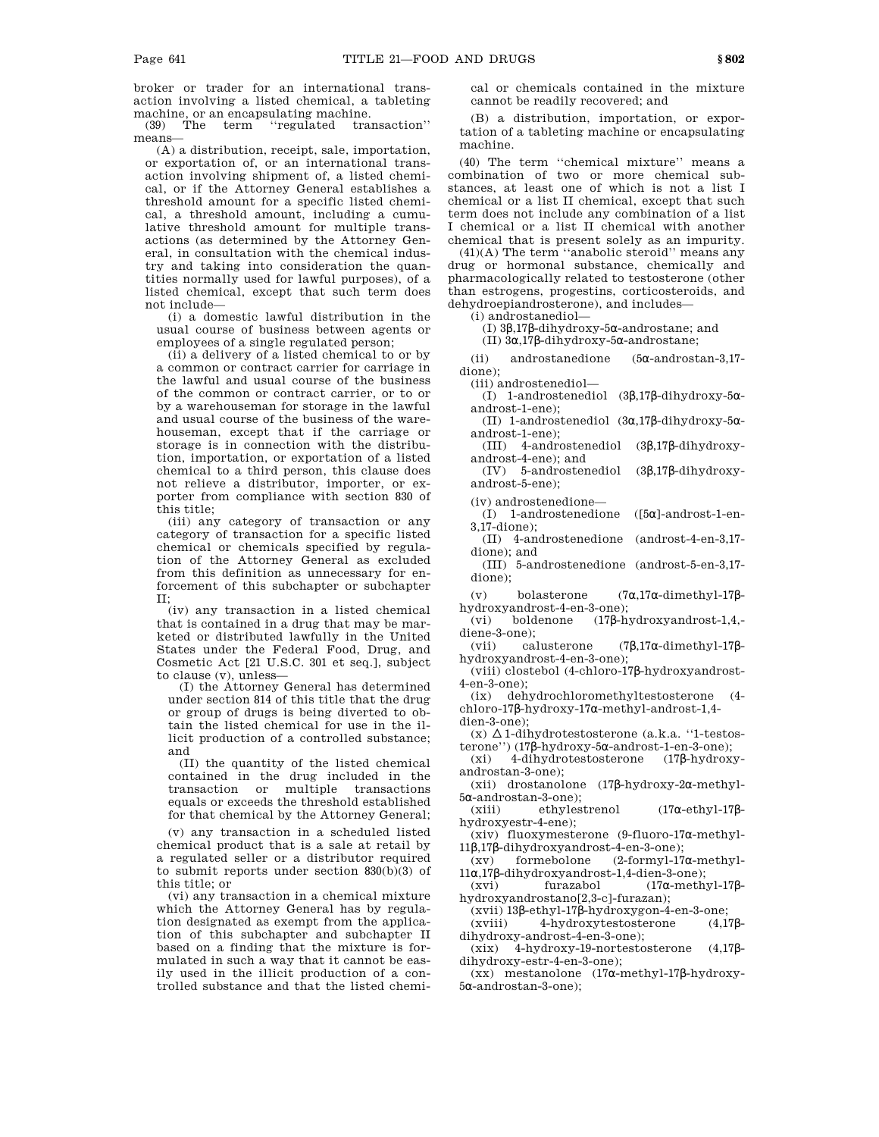broker or trader for an international transaction involving a listed chemical, a tableting machine, or an encapsulating machine.<br>(39) The term "regulated tra

"regulated transaction" means—

(A) a distribution, receipt, sale, importation, or exportation of, or an international transaction involving shipment of, a listed chemical, or if the Attorney General establishes a threshold amount for a specific listed chemical, a threshold amount, including a cumulative threshold amount for multiple transactions (as determined by the Attorney General, in consultation with the chemical industry and taking into consideration the quantities normally used for lawful purposes), of a listed chemical, except that such term does not include—

(i) a domestic lawful distribution in the usual course of business between agents or employees of a single regulated person;

(ii) a delivery of a listed chemical to or by a common or contract carrier for carriage in the lawful and usual course of the business of the common or contract carrier, or to or by a warehouseman for storage in the lawful and usual course of the business of the warehouseman, except that if the carriage or storage is in connection with the distribution, importation, or exportation of a listed chemical to a third person, this clause does not relieve a distributor, importer, or exporter from compliance with section 830 of this title;

(iii) any category of transaction or any category of transaction for a specific listed chemical or chemicals specified by regulation of the Attorney General as excluded from this definition as unnecessary for enforcement of this subchapter or subchapter II;

(iv) any transaction in a listed chemical that is contained in a drug that may be marketed or distributed lawfully in the United States under the Federal Food, Drug, and Cosmetic Act [21 U.S.C. 301 et seq.], subject to clause (v), unless—

(I) the Attorney General has determined under section 814 of this title that the drug or group of drugs is being diverted to obtain the listed chemical for use in the illicit production of a controlled substance; and

(II) the quantity of the listed chemical contained in the drug included in the transaction or multiple transactions equals or exceeds the threshold established for that chemical by the Attorney General;

(v) any transaction in a scheduled listed chemical product that is a sale at retail by a regulated seller or a distributor required to submit reports under section 830(b)(3) of this title; or

(vi) any transaction in a chemical mixture which the Attorney General has by regulation designated as exempt from the application of this subchapter and subchapter II based on a finding that the mixture is formulated in such a way that it cannot be easily used in the illicit production of a controlled substance and that the listed chemical or chemicals contained in the mixture cannot be readily recovered; and

(B) a distribution, importation, or exportation of a tableting machine or encapsulating machine.

(40) The term ''chemical mixture'' means a combination of two or more chemical substances, at least one of which is not a list I chemical or a list II chemical, except that such term does not include any combination of a list I chemical or a list II chemical with another chemical that is present solely as an impurity.

(41)(A) The term ''anabolic steroid'' means any drug or hormonal substance, chemically and pharmacologically related to testosterone (other than estrogens, progestins, corticosteroids, and dehydroepiandrosterone), and includes—

(i) androstanediol—

(I) 3β,17β-dihydroxy-5α-androstane; and

(II) 3α,17β-dihydroxy-5α-androstane;

(ii) androstanedione (5α-androstan-3,17 dione);

(iii) androstenediol—

(I) 1-androstenediol (3β,17β-dihydroxy-5αandrost-1-ene);

(II) 1-androstenediol (3α,17β-dihydroxy-5αandrost-1-ene);

(III) 4-androstenediol (3β,17β-dihydroxyandrost-4-ene); and

(IV) 5-androstenediol (3β,17β-dihydroxyandrost-5-ene);

(iv) androstenedione—

(I) 1-androstenedione ([5α]-androst-1-en-3,17-dione);

(II) 4-androstenedione (androst-4-en-3,17 dione); and

(III) 5-androstenedione (androst-5-en-3,17 dione);

(v) bolasterone (7α,17α-dimethyl-17βhydroxyandrost-4-en-3-one);

(vi) boldenone (17β-hydroxyandrost-1,4,-

diene-3-one);<br>(vii) calusterone  $(7β, 17α$ -dimethyl-17βhydroxyandrost-4-en-3-one);

(viii) clostebol (4-chloro-17β-hydroxyandrost-4-en-3-one);

(ix) dehydrochloromethyltestosterone (4 chloro-17β-hydroxy-17α-methyl-androst-1,4 dien-3-one);

 $(x)$   $\Delta$ 1-dihydrotestosterone (a.k.a. "1-testosterone'') (17β-hydroxy-5α-androst-1-en-3-one);

(xi) 4-dihydrotestosterone (17β-hydroxyandrostan-3-one);

(xii) drostanolone (17β-hydroxy-2α-methyl-5α-androstan-3-one);

(xiii) ethylestrenol (17α-ethyl-17βhydroxyestr-4-ene);

(xiv) fluoxymesterone (9-fluoro-17α-methyl-

11β,17β-dihydroxyandrost-4-en-3-one); formebolone  $(2$ -formyl-17α-methyl-

11α,17β-dihydroxyandrost-1,4-dien-3-one);<br>(xvi) furazabol (17α-meth (xvi) furazabol (17α-methyl-17β-

hydroxyandrostano[2,3-c]-furazan);

(xvii) 13β-ethyl-17β-hydroxygon-4-en-3-one; 4-hydroxytestosterone dihydroxy-androst-4-en-3-one);

(xix) 4-hydroxy-19-nortestosterone (4,17βdihydroxy-estr-4-en-3-one);

(xx) mestanolone (17α-methyl-17β-hydroxy-5α-androstan-3-one);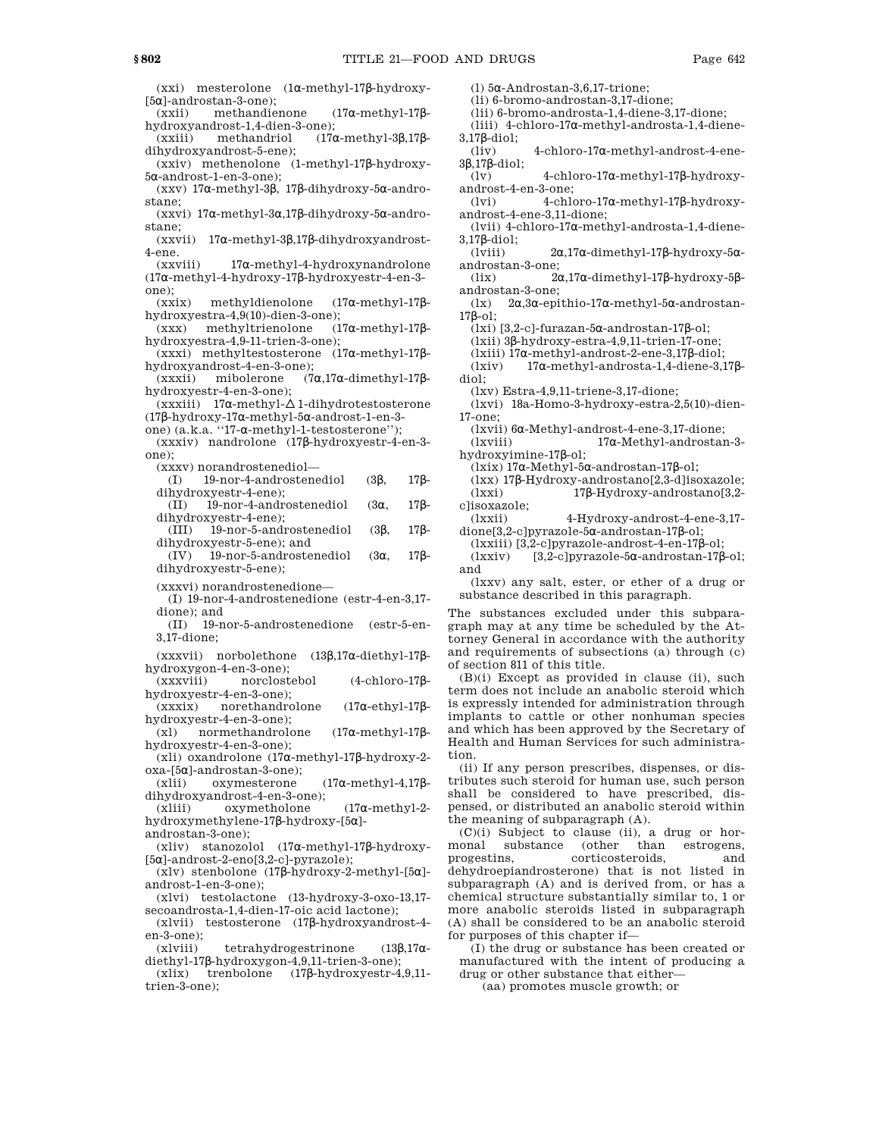(xxi) mesterolone (1α-methyl-17β-hydroxy- [5α]-androstan-3-one);

(xxii) methandienone (17α-methyl-17βhydroxyandrost-1,4-dien-3-one);

(xxiii) methandriol (17α-methyl-3β,17βdihydroxyandrost-5-ene);

(xxiv) methenolone (1-methyl-17β-hydroxy-5α-androst-1-en-3-one);

(xxv) 17α-methyl-3β, 17β-dihydroxy-5α-androstane;

(xxvi) 17α-methyl-3α,17β-dihydroxy-5α-androstane;<br>(xxvii)

17α-methyl-3β,17β-dihydroxyandrost-4-ene.

(xxviii) 17α-methyl-4-hydroxynandrolone (17α-methyl-4-hydroxy-17β-hydroxyestr-4-en-3 one);

(xxix) methyldienolone (17α-methyl-17β-

hydroxyestra-4,9(10)-dien-3-one); (xxx) methyltrienolone hydroxyestra-4,9-11-trien-3-one);

(xxxi) methyltestosterone (17α-methyl-17βhydroxyandrost-4-en-3-one);

(xxxii) mibolerone (7α,17α-dimethyl-17βhydroxyestr-4-en-3-one);

(xxxiii) 17α-methyl- $\Delta$  1-dihydrotestosterone (17β-hydroxy-17α-methyl-5α-androst-1-en-3-

one) (a.k.a. ''17-α-methyl-1-testosterone'');

(xxxiv) nandrolone (17β-hydroxyestr-4-en-3 one);

(xxxv) norandrostenediol—

(I) 19-nor-4-androstenediol (3β, 17βdihydroxyestr-4-ene);

(II) 19-nor-4-androstenediol (3α, 17βdihydroxyestr-4-ene);

(III) 19-nor-5-androstenediol (3β, 17βdihydroxyestr-5-ene); and<br>(IV) 19-nor-5-androste

(IV) 19-nor-5-androstenediol (3α, 17βdihydroxyestr-5-ene);

(xxxvi) norandrostenedione—

(I) 19-nor-4-androstenedione (estr-4-en-3,17 dione); and

(II) 19-nor-5-androstenedione (estr-5-en-3,17-dione;

(xxxvii) norbolethone (13β,17α-diethyl-17βhydroxygon-4-en-3-one);

(xxxviii) norclostebol (4-chloro-17βhydroxyestr-4-en-3-one);

(xxxix) norethandrolone (17α-ethyl-17βhydroxyestr-4-en-3-one);

(xl) normethandrolone (17α-methyl-17βhydroxyestr-4-en-3-one);

(xli) oxandrolone (17α-methyl-17β-hydroxy-2 oxa-[5α]-androstan-3-one);

(xlii) oxymesterone (17α-methyl-4,17βdihydroxyandrost-4-en-3-one);

(xliii) oxymetholone (17α-methyl-2 hydroxymethylene-17β-hydroxy-[5α] androstan-3-one);

(xliv) stanozolol (17α-methyl-17β-hydroxy- [5α]-androst-2-eno[3,2-c]-pyrazole);

(xlv) stenbolone (17β-hydroxy-2-methyl-[5α] androst-1-en-3-one);

(xlvi) testolactone (13-hydroxy-3-oxo-13,17 secoandrosta-1,4-dien-17-oic acid lactone);

(xlvii) testosterone (17β-hydroxyandrost-4 en-3-one);

(xlviii) tetrahydrogestrinone  $(13\beta, 17\alpha$ diethyl-17β-hydroxygon-4,9,11-trien-3-one);

(xlix) trenbolone (17β-hydroxyestr-4,9,11 trien-3-one);

(l) 5α-Androstan-3,6,17-trione;

(li) 6-bromo-androstan-3,17-dione;

(lii) 6-bromo-androsta-1,4-diene-3,17-dione;

(liii) 4-chloro-17α-methyl-androsta-1,4-diene-3,17β-diol;

(liv) 4-chloro-17α-methyl-androst-4-ene-3β,17β-diol;

(lv) 4-chloro-17α-methyl-17β-hydroxyandrost-4-en-3-one;

(lvi) 4-chloro-17α-methyl-17β-hydroxyandrost-4-ene-3,11-dione;

(lvii) 4-chloro-17α-methyl-androsta-1,4-diene-3,17β-diol;

(lviii) 2α,17α-dimethyl-17β-hydroxy-5αandrostan-3-one;

(lix) 2α,17α-dimethyl-17β-hydroxy-5βandrostan-3-one;

(lx) 2α,3α-epithio-17α-methyl-5α-androstan-17β-ol;

(lxi) [3,2-c]-furazan-5α-androstan-17β-ol;

(lxii) 3β-hydroxy-estra-4,9,11-trien-17-one;

(lxiii) 17α-methyl-androst-2-ene-3,17β-diol;

(lxiv) 17α-methyl-androsta-1,4-diene-3,17βdiol;

(lxv) Estra-4,9,11-triene-3,17-dione;

(lxvi) 18a-Homo-3-hydroxy-estra-2,5(10)-dien-17-one;

(lxvii) 6α-Methyl-androst-4-ene-3,17-dione;

(lxviii) 17α-Methyl-androstan-3 hydroxyimine-17β-ol;

(lxix) 17α-Methyl-5α-androstan-17β-ol;

(lxx) 17β-Hydroxy-androstano[2,3-d]isoxazole; 17β-Hydroxy-androstano[3,2-

c]isoxazole; 4-Hydroxy-androst-4-ene-3,17-

dione[3,2-c]pyrazole-5α-androstan-17β-ol;

(lxxiii) [3,2-c]pyrazole-androst-4-en-17β-ol; (lxxiv) [3,2-c]pyrazole-5α-androstan-17β-ol; and

(lxxv) any salt, ester, or ether of a drug or substance described in this paragraph.

The substances excluded under this subparagraph may at any time be scheduled by the Attorney General in accordance with the authority and requirements of subsections (a) through (c) of section 811 of this title.

(B)(i) Except as provided in clause (ii), such term does not include an anabolic steroid which is expressly intended for administration through implants to cattle or other nonhuman species and which has been approved by the Secretary of Health and Human Services for such administration.

(ii) If any person prescribes, dispenses, or distributes such steroid for human use, such person shall be considered to have prescribed, dispensed, or distributed an anabolic steroid within the meaning of subparagraph (A).

(C)(i) Subject to clause (ii), a drug or hormonal substance (other than estrogens, progestins, corticosteroids, and dehydroepiandrosterone) that is not listed in subparagraph (A) and is derived from, or has a chemical structure substantially similar to, 1 or more anabolic steroids listed in subparagraph (A) shall be considered to be an anabolic steroid for purposes of this chapter if—

(I) the drug or substance has been created or manufactured with the intent of producing a drug or other substance that either—

(aa) promotes muscle growth; or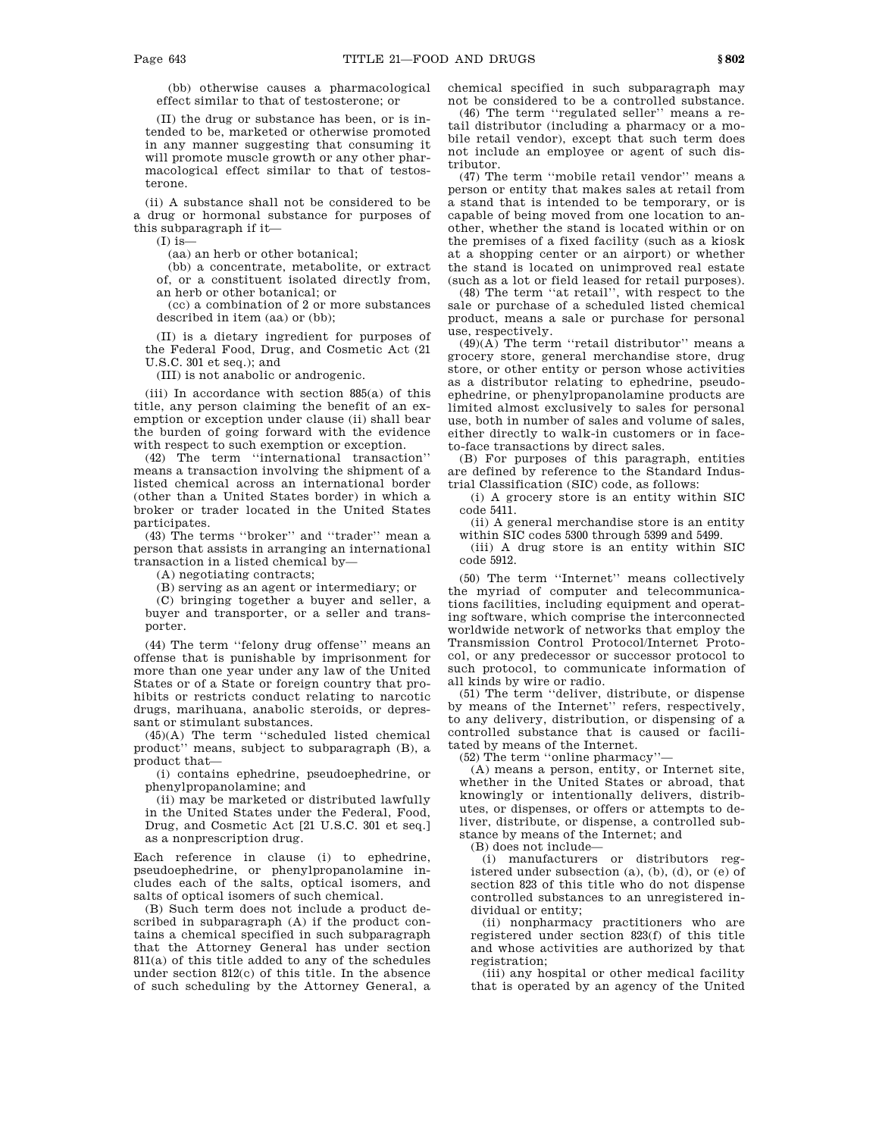(bb) otherwise causes a pharmacological effect similar to that of testosterone; or

(II) the drug or substance has been, or is intended to be, marketed or otherwise promoted in any manner suggesting that consuming it will promote muscle growth or any other pharmacological effect similar to that of testosterone.

(ii) A substance shall not be considered to be a drug or hormonal substance for purposes of this subparagraph if it—

 $(I)$  is-

(aa) an herb or other botanical;

(bb) a concentrate, metabolite, or extract of, or a constituent isolated directly from, an herb or other botanical; or

(cc) a combination of 2 or more substances described in item (aa) or (bb);

(II) is a dietary ingredient for purposes of the Federal Food, Drug, and Cosmetic Act (21 U.S.C. 301 et seq.); and

(III) is not anabolic or androgenic.

(iii) In accordance with section 885(a) of this title, any person claiming the benefit of an exemption or exception under clause (ii) shall bear the burden of going forward with the evidence with respect to such exemption or exception.

(42) The term ''international transaction'' means a transaction involving the shipment of a listed chemical across an international border (other than a United States border) in which a broker or trader located in the United States participates.

(43) The terms ''broker'' and ''trader'' mean a person that assists in arranging an international transaction in a listed chemical by—

(A) negotiating contracts;

(B) serving as an agent or intermediary; or

(C) bringing together a buyer and seller, a buyer and transporter, or a seller and transporter.

(44) The term ''felony drug offense'' means an offense that is punishable by imprisonment for more than one year under any law of the United States or of a State or foreign country that prohibits or restricts conduct relating to narcotic drugs, marihuana, anabolic steroids, or depressant or stimulant substances.

(45)(A) The term ''scheduled listed chemical product<sup>'</sup>' means, subject to subparagraph (B), a product that—

(i) contains ephedrine, pseudoephedrine, or phenylpropanolamine; and

(ii) may be marketed or distributed lawfully in the United States under the Federal, Food, Drug, and Cosmetic Act [21 U.S.C. 301 et seq.] as a nonprescription drug.

Each reference in clause (i) to ephedrine, pseudoephedrine, or phenylpropanolamine includes each of the salts, optical isomers, and salts of optical isomers of such chemical.

(B) Such term does not include a product described in subparagraph (A) if the product contains a chemical specified in such subparagraph that the Attorney General has under section 811(a) of this title added to any of the schedules under section 812(c) of this title. In the absence of such scheduling by the Attorney General, a chemical specified in such subparagraph may not be considered to be a controlled substance.

(46) The term ''regulated seller'' means a retail distributor (including a pharmacy or a mobile retail vendor), except that such term does not include an employee or agent of such distributor.

(47) The term ''mobile retail vendor'' means a person or entity that makes sales at retail from a stand that is intended to be temporary, or is capable of being moved from one location to another, whether the stand is located within or on the premises of a fixed facility (such as a kiosk at a shopping center or an airport) or whether the stand is located on unimproved real estate (such as a lot or field leased for retail purposes).

(48) The term ''at retail'', with respect to the sale or purchase of a scheduled listed chemical product, means a sale or purchase for personal use, respectively.

(49)(A) The term ''retail distributor'' means a grocery store, general merchandise store, drug store, or other entity or person whose activities as a distributor relating to ephedrine, pseudoephedrine, or phenylpropanolamine products are limited almost exclusively to sales for personal use, both in number of sales and volume of sales, either directly to walk-in customers or in faceto-face transactions by direct sales.

(B) For purposes of this paragraph, entities are defined by reference to the Standard Industrial Classification (SIC) code, as follows:

(i) A grocery store is an entity within SIC code 5411.

(ii) A general merchandise store is an entity within SIC codes 5300 through 5399 and 5499.

(iii) A drug store is an entity within SIC code 5912.

(50) The term ''Internet'' means collectively the myriad of computer and telecommunications facilities, including equipment and operating software, which comprise the interconnected worldwide network of networks that employ the Transmission Control Protocol/Internet Protocol, or any predecessor or successor protocol to such protocol, to communicate information of all kinds by wire or radio.

(51) The term ''deliver, distribute, or dispense by means of the Internet'' refers, respectively, to any delivery, distribution, or dispensing of a controlled substance that is caused or facilitated by means of the Internet.

(52) The term "online pharmacy"

(A) means a person, entity, or Internet site, whether in the United States or abroad, that knowingly or intentionally delivers, distributes, or dispenses, or offers or attempts to deliver, distribute, or dispense, a controlled substance by means of the Internet; and

(B) does not include—

(i) manufacturers or distributors registered under subsection  $(a)$ ,  $(b)$ ,  $(d)$ , or  $(e)$  of section 823 of this title who do not dispense controlled substances to an unregistered individual or entity;

(ii) nonpharmacy practitioners who are registered under section 823(f) of this title and whose activities are authorized by that registration;

(iii) any hospital or other medical facility that is operated by an agency of the United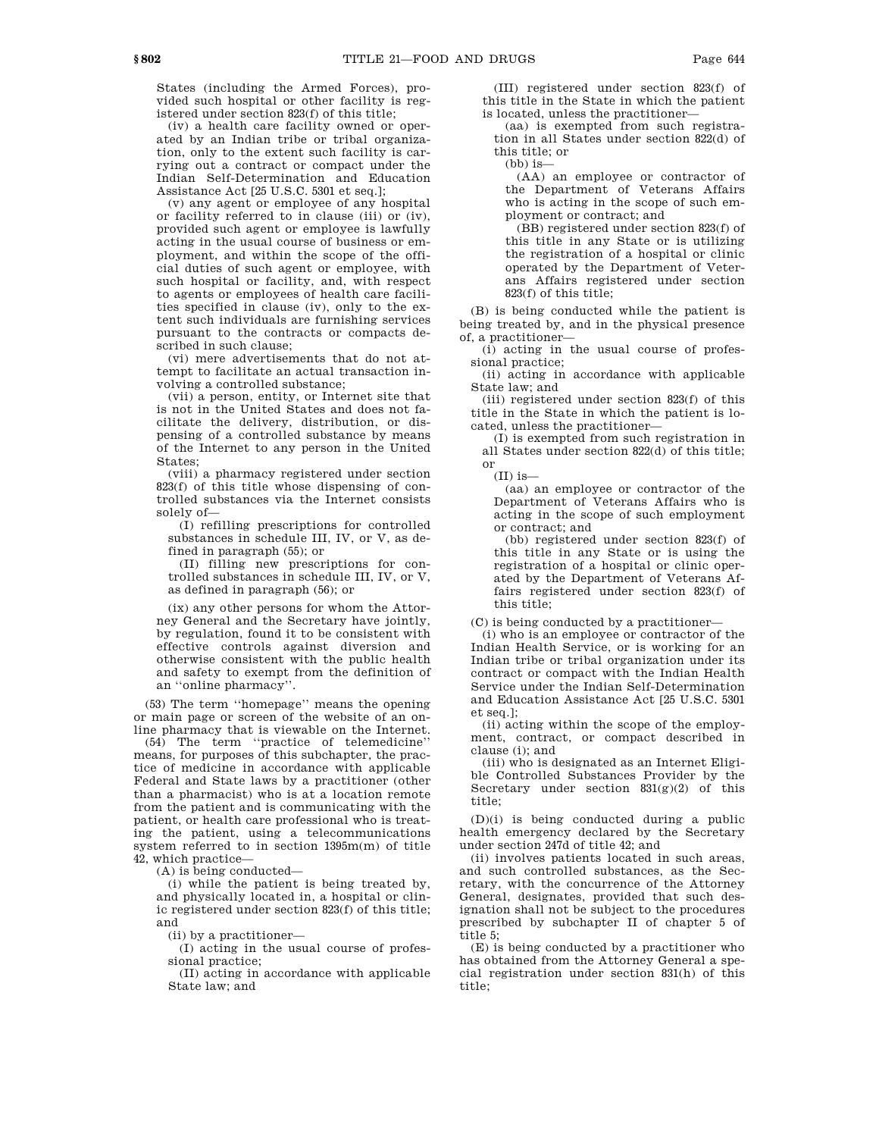States (including the Armed Forces), provided such hospital or other facility is registered under section 823(f) of this title;

(iv) a health care facility owned or operated by an Indian tribe or tribal organization, only to the extent such facility is carrying out a contract or compact under the Indian Self-Determination and Education Assistance Act [25 U.S.C. 5301 et seq.];

(v) any agent or employee of any hospital or facility referred to in clause (iii) or (iv), provided such agent or employee is lawfully acting in the usual course of business or employment, and within the scope of the official duties of such agent or employee, with such hospital or facility, and, with respect to agents or employees of health care facilities specified in clause (iv), only to the extent such individuals are furnishing services pursuant to the contracts or compacts described in such clause;

(vi) mere advertisements that do not attempt to facilitate an actual transaction involving a controlled substance;

(vii) a person, entity, or Internet site that is not in the United States and does not facilitate the delivery, distribution, or dispensing of a controlled substance by means of the Internet to any person in the United States;

(viii) a pharmacy registered under section 823(f) of this title whose dispensing of controlled substances via the Internet consists solely of—

(I) refilling prescriptions for controlled substances in schedule III, IV, or V, as defined in paragraph (55); or

(II) filling new prescriptions for controlled substances in schedule III, IV, or V, as defined in paragraph (56); or

(ix) any other persons for whom the Attorney General and the Secretary have jointly, by regulation, found it to be consistent with effective controls against diversion and otherwise consistent with the public health and safety to exempt from the definition of an ''online pharmacy''.

(53) The term ''homepage'' means the opening or main page or screen of the website of an online pharmacy that is viewable on the Internet.

(54) The term ''practice of telemedicine'' means, for purposes of this subchapter, the practice of medicine in accordance with applicable Federal and State laws by a practitioner (other than a pharmacist) who is at a location remote from the patient and is communicating with the patient, or health care professional who is treating the patient, using a telecommunications system referred to in section 1395m(m) of title 42, which practice—

(A) is being conducted—

(i) while the patient is being treated by, and physically located in, a hospital or clinic registered under section 823(f) of this title; and

(ii) by a practitioner—

(I) acting in the usual course of professional practice;

(II) acting in accordance with applicable State law; and

(III) registered under section 823(f) of this title in the State in which the patient is located, unless the practitioner—

(aa) is exempted from such registration in all States under section 822(d) of this title; or

 $(bh)$  is-

(AA) an employee or contractor of the Department of Veterans Affairs who is acting in the scope of such employment or contract; and

(BB) registered under section 823(f) of this title in any State or is utilizing the registration of a hospital or clinic operated by the Department of Veterans Affairs registered under section 823(f) of this title;

(B) is being conducted while the patient is being treated by, and in the physical presence of, a practitioner—

(i) acting in the usual course of professional practice;

(ii) acting in accordance with applicable State law; and

(iii) registered under section 823(f) of this title in the State in which the patient is located, unless the practitioner—

(I) is exempted from such registration in all States under section 822(d) of this title; or

 $(II)$  is-

(aa) an employee or contractor of the Department of Veterans Affairs who is acting in the scope of such employment or contract; and

(bb) registered under section 823(f) of this title in any State or is using the registration of a hospital or clinic operated by the Department of Veterans Affairs registered under section 823(f) of this title;

(C) is being conducted by a practitioner—

(i) who is an employee or contractor of the Indian Health Service, or is working for an Indian tribe or tribal organization under its contract or compact with the Indian Health Service under the Indian Self-Determination and Education Assistance Act [25 U.S.C. 5301 et seq.];

(ii) acting within the scope of the employment, contract, or compact described in clause (i); and

(iii) who is designated as an Internet Eligible Controlled Substances Provider by the Secretary under section  $831(g)(2)$  of this title;

(D)(i) is being conducted during a public health emergency declared by the Secretary under section 247d of title 42; and

(ii) involves patients located in such areas, and such controlled substances, as the Secretary, with the concurrence of the Attorney General, designates, provided that such designation shall not be subject to the procedures prescribed by subchapter II of chapter 5 of title 5;

(E) is being conducted by a practitioner who has obtained from the Attorney General a special registration under section 831(h) of this title;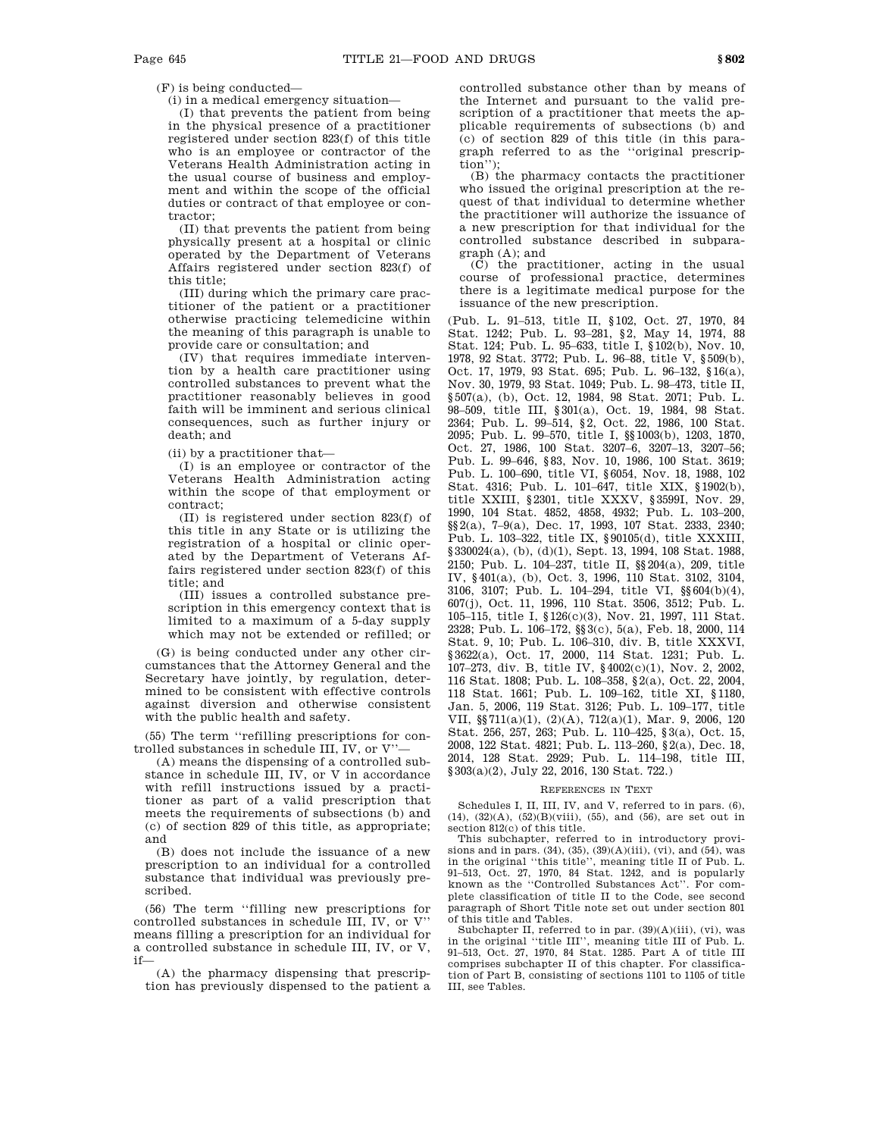(F) is being conducted—

(i) in a medical emergency situation—

(I) that prevents the patient from being in the physical presence of a practitioner registered under section 823(f) of this title who is an employee or contractor of the Veterans Health Administration acting in the usual course of business and employment and within the scope of the official duties or contract of that employee or contractor;

(II) that prevents the patient from being physically present at a hospital or clinic operated by the Department of Veterans Affairs registered under section 823(f) of this title;

(III) during which the primary care practitioner of the patient or a practitioner otherwise practicing telemedicine within the meaning of this paragraph is unable to provide care or consultation; and

(IV) that requires immediate intervention by a health care practitioner using controlled substances to prevent what the practitioner reasonably believes in good faith will be imminent and serious clinical consequences, such as further injury or death; and

(ii) by a practitioner that—

(I) is an employee or contractor of the Veterans Health Administration acting within the scope of that employment or contract;

(II) is registered under section 823(f) of this title in any State or is utilizing the registration of a hospital or clinic operated by the Department of Veterans Affairs registered under section 823(f) of this title; and

(III) issues a controlled substance prescription in this emergency context that is limited to a maximum of a 5-day supply which may not be extended or refilled; or

(G) is being conducted under any other circumstances that the Attorney General and the Secretary have jointly, by regulation, determined to be consistent with effective controls against diversion and otherwise consistent with the public health and safety.

(55) The term ''refilling prescriptions for controlled substances in schedule III, IV, or V''—

(A) means the dispensing of a controlled substance in schedule III, IV, or V in accordance with refill instructions issued by a practitioner as part of a valid prescription that meets the requirements of subsections (b) and (c) of section 829 of this title, as appropriate; and

(B) does not include the issuance of a new prescription to an individual for a controlled substance that individual was previously prescribed.

(56) The term ''filling new prescriptions for controlled substances in schedule III, IV, or V'' means filling a prescription for an individual for a controlled substance in schedule III, IV, or V, if—

(A) the pharmacy dispensing that prescription has previously dispensed to the patient a controlled substance other than by means of the Internet and pursuant to the valid prescription of a practitioner that meets the applicable requirements of subsections (b) and (c) of section 829 of this title (in this paragraph referred to as the ''original prescription")

(B) the pharmacy contacts the practitioner who issued the original prescription at the request of that individual to determine whether the practitioner will authorize the issuance of a new prescription for that individual for the controlled substance described in subparagraph (A); and

(C) the practitioner, acting in the usual course of professional practice, determines there is a legitimate medical purpose for the issuance of the new prescription.

(Pub. L. 91–513, title II, §102, Oct. 27, 1970, 84 Stat. 1242; Pub. L. 93–281, §2, May 14, 1974, 88 Stat. 124; Pub. L. 95–633, title I, §102(b), Nov. 10, 1978, 92 Stat. 3772; Pub. L. 96–88, title V, §509(b), Oct. 17, 1979, 93 Stat. 695; Pub. L. 96–132, §16(a), Nov. 30, 1979, 93 Stat. 1049; Pub. L. 98–473, title II, §507(a), (b), Oct. 12, 1984, 98 Stat. 2071; Pub. L. 98–509, title III, §301(a), Oct. 19, 1984, 98 Stat. 2364; Pub. L. 99–514, §2, Oct. 22, 1986, 100 Stat. 2095; Pub. L. 99–570, title I, §§1003(b), 1203, 1870, Oct. 27, 1986, 100 Stat. 3207–6, 3207–13, 3207–56; Pub. L. 99–646, §83, Nov. 10, 1986, 100 Stat. 3619; Pub. L. 100–690, title VI, §6054, Nov. 18, 1988, 102 Stat. 4316; Pub. L. 101–647, title XIX, §1902(b), title XXIII, §2301, title XXXV, §3599I, Nov. 29, 1990, 104 Stat. 4852, 4858, 4932; Pub. L. 103–200, §§2(a), 7–9(a), Dec. 17, 1993, 107 Stat. 2333, 2340; Pub. L. 103–322, title IX, §90105(d), title XXXIII, §330024(a), (b), (d)(1), Sept. 13, 1994, 108 Stat. 1988, 2150; Pub. L. 104–237, title II, §§204(a), 209, title IV, §401(a), (b), Oct. 3, 1996, 110 Stat. 3102, 3104, 3106, 3107; Pub. L. 104–294, title VI, §§604(b)(4), 607(j), Oct. 11, 1996, 110 Stat. 3506, 3512; Pub. L. 105–115, title I, §126(c)(3), Nov. 21, 1997, 111 Stat. 2328; Pub. L. 106–172, §§3(c), 5(a), Feb. 18, 2000, 114 Stat. 9, 10; Pub. L. 106–310, div. B, title XXXVI, §3622(a), Oct. 17, 2000, 114 Stat. 1231; Pub. L. 107–273, div. B, title IV, §4002(c)(1), Nov. 2, 2002, 116 Stat. 1808; Pub. L. 108–358, §2(a), Oct. 22, 2004, 118 Stat. 1661; Pub. L. 109–162, title XI, §1180, Jan. 5, 2006, 119 Stat. 3126; Pub. L. 109–177, title VII, §§711(a)(1), (2)(A), 712(a)(1), Mar. 9, 2006, 120 Stat. 256, 257, 263; Pub. L. 110–425, §3(a), Oct. 15, 2008, 122 Stat. 4821; Pub. L. 113–260, §2(a), Dec. 18, 2014, 128 Stat. 2929; Pub. L. 114–198, title III, §303(a)(2), July 22, 2016, 130 Stat. 722.)

#### REFERENCES IN TEXT

Schedules I, II, III, IV, and V, referred to in pars. (6), (14), (32)(A), (52)(B)(viii), (55), and (56), are set out in

section 812(c) of this title. This subchapter, referred to in introductory provisions and in pars. (34), (35), (39)(A)(iii), (vi), and (54), was in the original ''this title'', meaning title II of Pub. L. 91–513, Oct. 27, 1970, 84 Stat. 1242, and is popularly known as the ''Controlled Substances Act''. For complete classification of title II to the Code, see second paragraph of Short Title note set out under section 801 of this title and Tables.

Subchapter II, referred to in par.  $(39)(\mathrm{A})(\mathrm{iii}),$   $(\mathrm{vi}),$  was in the original ''title III'', meaning title III of Pub. L. 91–513, Oct. 27, 1970, 84 Stat. 1285. Part A of title III comprises subchapter II of this chapter. For classification of Part B, consisting of sections 1101 to 1105 of title III, see Tables.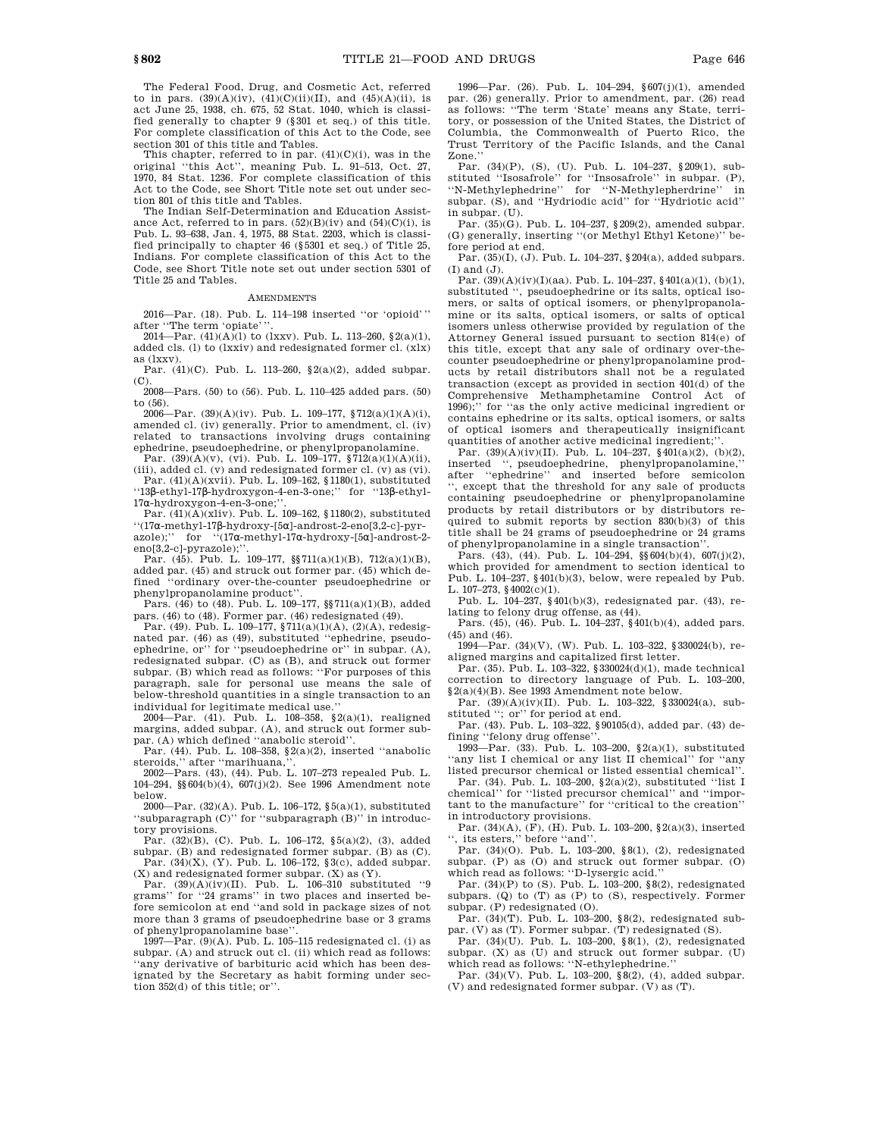The Federal Food, Drug, and Cosmetic Act, referred to in pars.  $(39)(A)(iv)$ ,  $(41)(C)(ii)(II)$ , and  $(45)(A)(ii)$ , is act June 25, 1938, ch. 675, 52 Stat. 1040, which is classified generally to chapter 9 (§301 et seq.) of this title. For complete classification of this Act to the Code, see section 301 of this title and Tables.

This chapter, referred to in par. (41)(C)(i), was in the original ''this Act'', meaning Pub. L. 91–513, Oct. 27, 1970, 84 Stat. 1236. For complete classification of this Act to the Code, see Short Title note set out under section 801 of this title and Tables.

The Indian Self-Determination and Education Assistance Act, referred to in pars.  $(52)(B)(iv)$  and  $(54)(C)(i)$ , is Pub. L. 93–638, Jan. 4, 1975, 88 Stat. 2203, which is classified principally to chapter 46 (§5301 et seq.) of Title 25, Indians. For complete classification of this Act to the Code, see Short Title note set out under section 5301 of Title 25 and Tables.

## AMENDMENTS

2016—Par. (18). Pub. L. 114–198 inserted ''or 'opioid''' after "The term 'opiate'

2014—Par.  $(41)(A)(1)$  to  $(1xxy)$ . Pub. L. 113-260, §2(a)(1), added cls. (l) to (lxxiv) and redesignated former cl. (xlx) as (lxxv).

Par. (41)(C). Pub. L. 113–260, §2(a)(2), added subpar. (C).

2008—Pars. (50) to (56). Pub. L. 110–425 added pars. (50) to (56). 2006—Par. (39)(A)(iv). Pub. L. 109–177, §712(a)(1)(A)(i),

amended cl. (iv) generally. Prior to amendment, cl. (iv) related to transactions involving drugs containing ephedrine, pseudoephedrine, or phenylpropanolamine.<br>Par.  $(39)(A)(v)$ ,  $(vi)$ . Pub. L. 109–177,  $\S 712(a)(1)(A)(ii)$ ,

(iii), added cl. (v) and redesignated former cl. (v) as (vi).

Par. (41)(A)(xvii). Pub. L. 109–162, §1180(1), substituted ''13β-ethyl-17β-hydroxygon-4-en-3-one;'' for ''13β-ethyl-17α-hydroxygon-4-en-3-one;''.

Par. (41)(A)(xliv). Pub. L. 109–162, §1180(2), substituted ''(17α-methyl-17β-hydroxy-[5α]-androst-2-eno[3,2-c]-pyrazole);'' for ''(17α-methyl-17α-hydroxy-[5α]-androst-2 eno[3,2-c]-pyrazole);"

Par. (45). Pub. L. 109–177, §§711(a)(1)(B), 712(a)(1)(B), added par. (45) and struck out former par. (45) which defined ''ordinary over-the-counter pseudoephedrine or phenylpropanolamine product''.

Pars. (46) to (48). Pub. L. 109–177, §§711(a)(1)(B), added pars. (46) to (48). Former par. (46) redesignated (49). Par. (49). Pub. L. 109–177, §711(a)(1)(A), (2)(A), redesig-

nated par. (46) as (49), substituted ''ephedrine, pseudoephedrine, or'' for ''pseudoephedrine or'' in subpar. (A), redesignated subpar. (C) as (B), and struck out former subpar. (B) which read as follows: ''For purposes of this paragraph, sale for personal use means the sale of below-threshold quantities in a single transaction to an individual for legitimate medical use.''

2004—Par. (41). Pub. L. 108–358, §2(a)(1), realigned margins, added subpar. (A), and struck out former subpar. (A) which defined ''anabolic steroid''.

Par. (44). Pub. L. 108–358, §2(a)(2), inserted ''anabolic steroids,'' after ''marihuana,''.

2002—Pars. (43), (44). Pub. L. 107–273 repealed Pub. L. 104–294, §§604(b)(4), 607(j)(2). See 1996 Amendment note below.

2000—Par. (32)(A). Pub. L. 106–172, §5(a)(1), substituted ''subparagraph (C)'' for ''subparagraph (B)'' in introductory provisions.

Par. (32)(B), (C). Pub. L. 106–172, §5(a)(2), (3), added subpar. (B) and redesignated former subpar. (B) as (C). Par. (34)(X), (Y). Pub. L. 106–172, §3(c), added subpar.

(X) and redesignated former subpar. (X) as (Y). Par. (39)(A)(iv)(II). Pub. L. 106–310 substituted ''9 grams'' for ''24 grams'' in two places and inserted before semicolon at end ''and sold in package sizes of not more than 3 grams of pseudoephedrine base or 3 grams of phenylpropanolamine base'

1997—Par.  $(9)(A)$ . Pub. L. 105–115 redesignated cl. (i) as subpar. (A) and struck out cl. (ii) which read as follows: ''any derivative of barbituric acid which has been designated by the Secretary as habit forming under section 352(d) of this title; or''.

1996—Par. (26). Pub. L. 104–294, §607(j)(1), amended par. (26) generally. Prior to amendment, par. (26) read as follows: ''The term 'State' means any State, territory, or possession of the United States, the District of Columbia, the Commonwealth of Puerto Rico, the Trust Territory of the Pacific Islands, and the Canal Zone.''

Par. (34)(P), (S), (U). Pub. L. 104–237, §209(1), substituted ''Isosafrole'' for ''Insosafrole'' in subpar. (P), ''N-Methylephedrine'' for ''N-Methylepherdrine'' in subpar. (S), and ''Hydriodic acid'' for ''Hydriotic acid'' in subpar. (U).

Par. (35)(G). Pub. L. 104–237, §209(2), amended subpar. (G) generally, inserting ''(or Methyl Ethyl Ketone)'' before period at end.

Par. (35)(I), (J). Pub. L. 104–237, §204(a), added subpars.  $(I)$  and  $(J)$ .

Par. (39)(A)(iv)(I)(aa). Pub. L. 104–237, §401(a)(1), (b)(1), substituted ", pseudoephedrine or its salts, optical isomers, or salts of optical isomers, or phenylpropanolamine or its salts, optical isomers, or salts of optical isomers unless otherwise provided by regulation of the Attorney General issued pursuant to section 814(e) of this title, except that any sale of ordinary over-thecounter pseudoephedrine or phenylpropanolamine products by retail distributors shall not be a regulated transaction (except as provided in section 401(d) of the Comprehensive Methamphetamine Control Act of 1996);'' for ''as the only active medicinal ingredient or contains ephedrine or its salts, optical isomers, or salts of optical isomers and therapeutically insignificant quantities of another active medicinal ingredient;"

Par.  $(39)(A)(iv)(II)$ . Pub. L.  $104-237$ ,  $$401(a)(2)$ ,  $(b)(2)$ , inserted " pseudoephedrine phenylpropanolamine" inserted '', pseudoephedrine, phenylpropanolamine,'' after ''ephedrine'' and inserted before semicolon '', except that the threshold for any sale of products containing pseudoephedrine or phenylpropanolamine products by retail distributors or by distributors required to submit reports by section 830(b)(3) of this title shall be 24 grams of pseudoephedrine or 24 grams of phenylpropanolamine in a single transaction''.

Pars. (43), (44). Pub. L. 104–294, §§604(b)(4), 607(j)(2), which provided for amendment to section identical to Pub. L. 104–237, §401(b)(3), below, were repealed by Pub. L. 107–273, §4002(c)(1).

Pub. L. 104–237, §401(b)(3), redesignated par. (43), relating to felony drug offense, as (44).

Pars. (45), (46). Pub. L. 104–237, §401(b)(4), added pars. (45) and (46).

1994—Par. (34)(V), (W). Pub. L. 103–322, §330024(b), realigned margins and capitalized first letter.

Par. (35). Pub. L. 103–322, §330024(d)(1), made technical correction to directory language of Pub. L. 103–200, §2(a)(4)(B). See 1993 Amendment note below.

Par. (39)(A)(iv)(II). Pub. L. 103–322, §330024(a), substituted "; or" for period at end.

Par. (43). Pub. L. 103–322, §90105(d), added par. (43) defining "felony drug offense"

1993—Par. (33). Pub. L. 103–200, §2(a)(1), substituted ''any list I chemical or any list II chemical'' for ''any listed precursor chemical or listed essential chemical''.

Par. (34). Pub. L. 103–200, §2(a)(2), substituted ''list I chemical'' for ''listed precursor chemical'' and ''important to the manufacture'' for ''critical to the creation'' in introductory provisions.

Par. (34)(A), (F), (H). Pub. L. 103–200, §2(a)(3), inserted '', its esters,'' before ''and''.

Par. (34)(O). Pub. L. 103–200, §8(1), (2), redesignated subpar. (P) as (O) and struck out former subpar. (O) which read as follows: ''D-lysergic acid.''

Par.  $(34)(P)$  to  $(S)$ . Pub. L. 103–200, §8(2), redesignated subpars. (Q) to (T) as (P) to (S), respectively. Former subpar. (P) redesignated (O).

Par. (34)(T). Pub. L. 103–200, §8(2), redesignated sub-par. (V) as (T). Former subpar. (T) redesignated (S).

Par. (34)(U). Pub. L. 103–200, §8(1), (2), redesignated subpar. (X) as (U) and struck out former subpar. (U)

which read as follows: ''N-ethylephedrine.'' Par. (34)(V). Pub. L. 103–200, §8(2), (4), added subpar. (V) and redesignated former subpar. (V) as (T).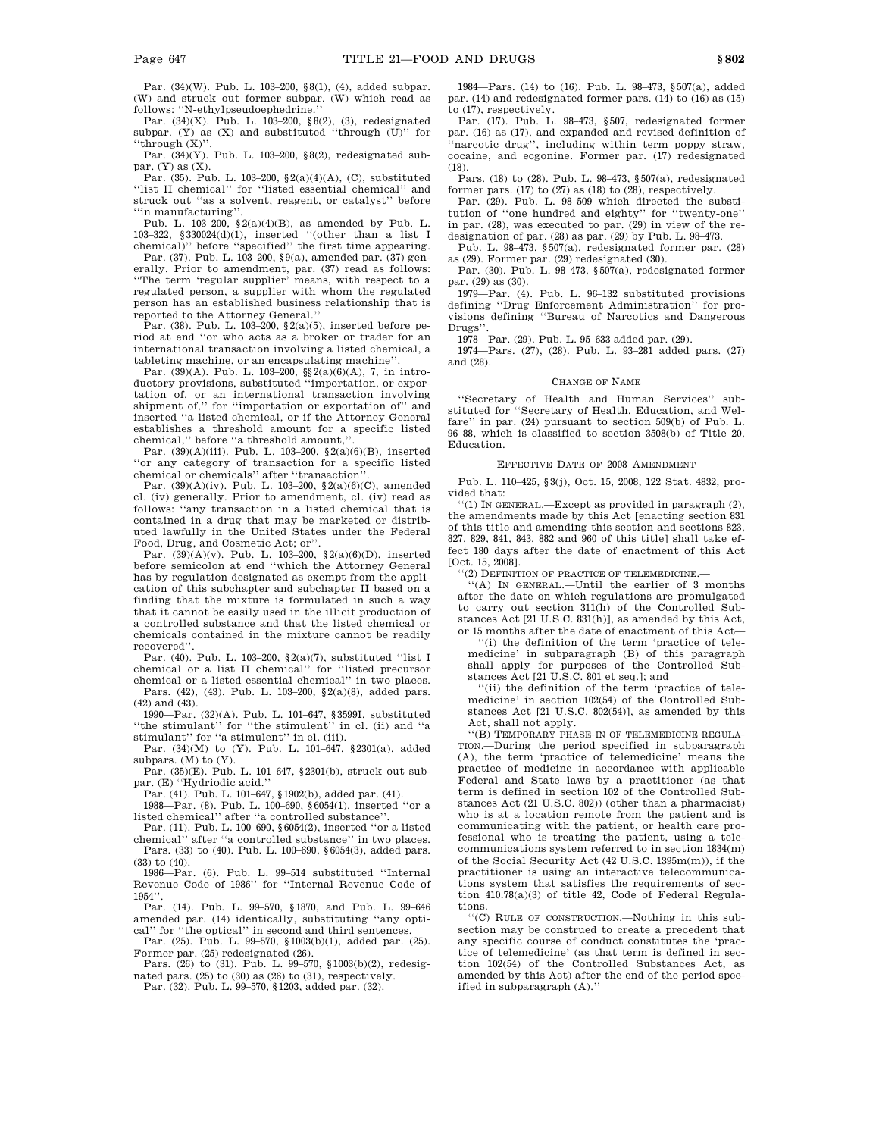Par. (34)(W). Pub. L. 103–200, §8(1), (4), added subpar. (W) and struck out former subpar. (W) which read as follows: ''N-ethylpseudoephedrine.''

Par. (34)(X). Pub. L. 103–200, §8(2), (3), redesignated subpar. (Y) as (X) and substituted ''through (U)'' for ''through $({\bf X})$ ''

Par.  $(34)(Y)$ . Pub. L. 103-200, §8(2), redesignated subpar. (Y) as (X).

Par. (35). Pub. L. 103–200, §2(a)(4)(A), (C), substituted ''list II chemical'' for ''listed essential chemical'' and struck out ''as a solvent, reagent, or catalyst'' before ''in manufacturing''.

Pub. L. 103-200,  $\S 2(a)(4)(B)$ , as amended by Pub. L. 103–322, §330024(d)(1), inserted ''(other than a list I chemical)'' before ''specified'' the first time appearing.

Par. (37). Pub. L. 103–200, §9(a), amended par. (37) generally. Prior to amendment, par. (37) read as follows: ''The term 'regular supplier' means, with respect to a regulated person, a supplier with whom the regulated person has an established business relationship that is reported to the Attorney General.''

Par. (38). Pub. L. 103–200, §2(a)(5), inserted before period at end ''or who acts as a broker or trader for an international transaction involving a listed chemical, a tableting machine, or an encapsulating machine''.

Par. (39)(A). Pub. L. 103-200, §§2(a)(6)(A), 7, in introductory provisions, substituted ''importation, or exportation of, or an international transaction involving shipment of," for "importation or exportation of" and inserted ''a listed chemical, or if the Attorney General establishes a threshold amount for a specific listed chemical,'' before ''a threshold amount,''.

Par.  $(39)(A)(iii)$ . Pub. L. 103-200,  $(2a)(6)(B)$ , inserted ''or any category of transaction for a specific listed chemical or chemicals'' after ''transaction''.

Par. (39)(A)(iv). Pub. L. 103–200, §2(a)(6)(C), amended cl. (iv) generally. Prior to amendment, cl. (iv) read as follows: ''any transaction in a listed chemical that is contained in a drug that may be marketed or distributed lawfully in the United States under the Federal Food, Drug, and Cosmetic Act; or''.

Par. (39)(A)(v). Pub. L. 103–200, §2(a)(6)(D), inserted before semicolon at end ''which the Attorney General has by regulation designated as exempt from the application of this subchapter and subchapter II based on a finding that the mixture is formulated in such a way that it cannot be easily used in the illicit production of a controlled substance and that the listed chemical or chemicals contained in the mixture cannot be readily recovered''.

Par. (40). Pub. L. 103–200, §2(a)(7), substituted ''list I chemical or a list II chemical'' for ''listed precursor chemical or a listed essential chemical'' in two places.

Pars. (42), (43). Pub. L. 103–200, §2(a)(8), added pars. (42) and (43).

1990—Par. (32)(A). Pub. L. 101–647, §3599I, substituted ''the stimulant'' for ''the stimulent'' in cl. (ii) and ''a stimulant'' for ''a stimulent'' in cl. (iii).

Par. (34)(M) to (Y). Pub. L. 101–647, §2301(a), added subpars. (M) to (Y).

Par. (35)(E). Pub. L. 101–647, §2301(b), struck out subpar. (E) ''Hydriodic acid.''

Par. (41). Pub. L. 101–647, §1902(b), added par. (41).

1988—Par. (8). Pub. L. 100–690, §6054(1), inserted ''or a listed chemical'' after ''a controlled substance''.

Par. (11). Pub. L. 100–690, §6054(2), inserted ''or a listed chemical'' after ''a controlled substance'' in two places. Pars. (33) to (40). Pub. L. 100–690, §6054(3), added pars. (33) to (40).

1986—Par. (6). Pub. L. 99–514 substituted ''Internal Revenue Code of 1986'' for ''Internal Revenue Code of 1954''.

Par. (14). Pub. L. 99–570, §1870, and Pub. L. 99–646 amended par. (14) identically, substituting ''any opti-cal'' for ''the optical'' in second and third sentences.

Par. (25). Pub. L. 99–570, §1003(b)(1), added par. (25). Former par. (25) redesignated (26).

Pars. (26) to (31). Pub. L. 99–570, §1003(b)(2), redesignated pars. (25) to (30) as (26) to (31), respectively.

Par. (32). Pub. L. 99–570, §1203, added par. (32).

1984—Pars. (14) to (16). Pub. L. 98–473, §507(a), added par. (14) and redesignated former pars. (14) to (16) as (15) to (17), respectively.

Par. (17). Pub. L. 98–473, §507, redesignated former par. (16) as (17), and expanded and revised definition of 'narcotic drug", including within term poppy straw, cocaine, and ecgonine. Former par. (17) redesignated (18).

Pars. (18) to (28). Pub. L. 98–473, §507(a), redesignated former pars.  $(17)$  to  $(27)$  as  $(18)$  to  $(28)$ , respectively.

Par. (29). Pub. L. 98–509 which directed the substitution of ''one hundred and eighty'' for ''twenty-one'' in par. (28), was executed to par. (29) in view of the redesignation of par. (28) as par. (29) by Pub. L. 98–473.

Pub. L. 98–473, §507(a), redesignated former par. (28) as (29). Former par. (29) redesignated (30).

Par. (30). Pub. L. 98–473, §507(a), redesignated former par. (29) as (30).

1979—Par. (4). Pub. L. 96–132 substituted provisions defining ''Drug Enforcement Administration'' for provisions defining ''Bureau of Narcotics and Dangerous Drugs''.

1978—Par. (29). Pub. L. 95–633 added par. (29).

1974—Pars. (27), (28). Pub. L. 93–281 added pars. (27) and (28).

#### CHANGE OF NAME

''Secretary of Health and Human Services'' substituted for "Secretary of Health, Education, and Welfare'' in par. (24) pursuant to section 509(b) of Pub. L. 96–88, which is classified to section 3508(b) of Title 20, Education.

### EFFECTIVE DATE OF 2008 AMENDMENT

Pub. L. 110–425, §3(j), Oct. 15, 2008, 122 Stat. 4832, provided that:

''(1) IN GENERAL.—Except as provided in paragraph (2), the amendments made by this Act [enacting section 831 of this title and amending this section and sections 823, 827, 829, 841, 843, 882 and 960 of this title] shall take effect 180 days after the date of enactment of this Act [Oct. 15, 2008].

''(2) DEFINITION OF PRACTICE OF TELEMEDICINE.—

''(A) IN GENERAL.—Until the earlier of 3 months after the date on which regulations are promulgated to carry out section 311(h) of the Controlled Substances Act [21 U.S.C. 831(h)], as amended by this Act, or 15 months after the date of enactment of this Act—

''(i) the definition of the term 'practice of telemedicine' in subparagraph (B) of this paragraph shall apply for purposes of the Controlled Substances Act [21 U.S.C. 801 et seq.]; and

''(ii) the definition of the term 'practice of telemedicine' in section 102(54) of the Controlled Substances Act [21 U.S.C. 802(54)], as amended by this Act, shall not apply.

''(B) TEMPORARY PHASE-IN OF TELEMEDICINE REGULA-TION.—During the period specified in subparagraph (A), the term 'practice of telemedicine' means the practice of medicine in accordance with applicable Federal and State laws by a practitioner (as that term is defined in section 102 of the Controlled Substances Act (21 U.S.C. 802)) (other than a pharmacist) who is at a location remote from the patient and is communicating with the patient, or health care professional who is treating the patient, using a telecommunications system referred to in section 1834(m) of the Social Security Act (42 U.S.C. 1395m(m)), if the practitioner is using an interactive telecommunications system that satisfies the requirements of section 410.78(a)(3) of title 42, Code of Federal Regulations.

''(C) RULE OF CONSTRUCTION.—Nothing in this subsection may be construed to create a precedent that any specific course of conduct constitutes the 'practice of telemedicine' (as that term is defined in section 102(54) of the Controlled Substances Act, as amended by this Act) after the end of the period specified in subparagraph (A).''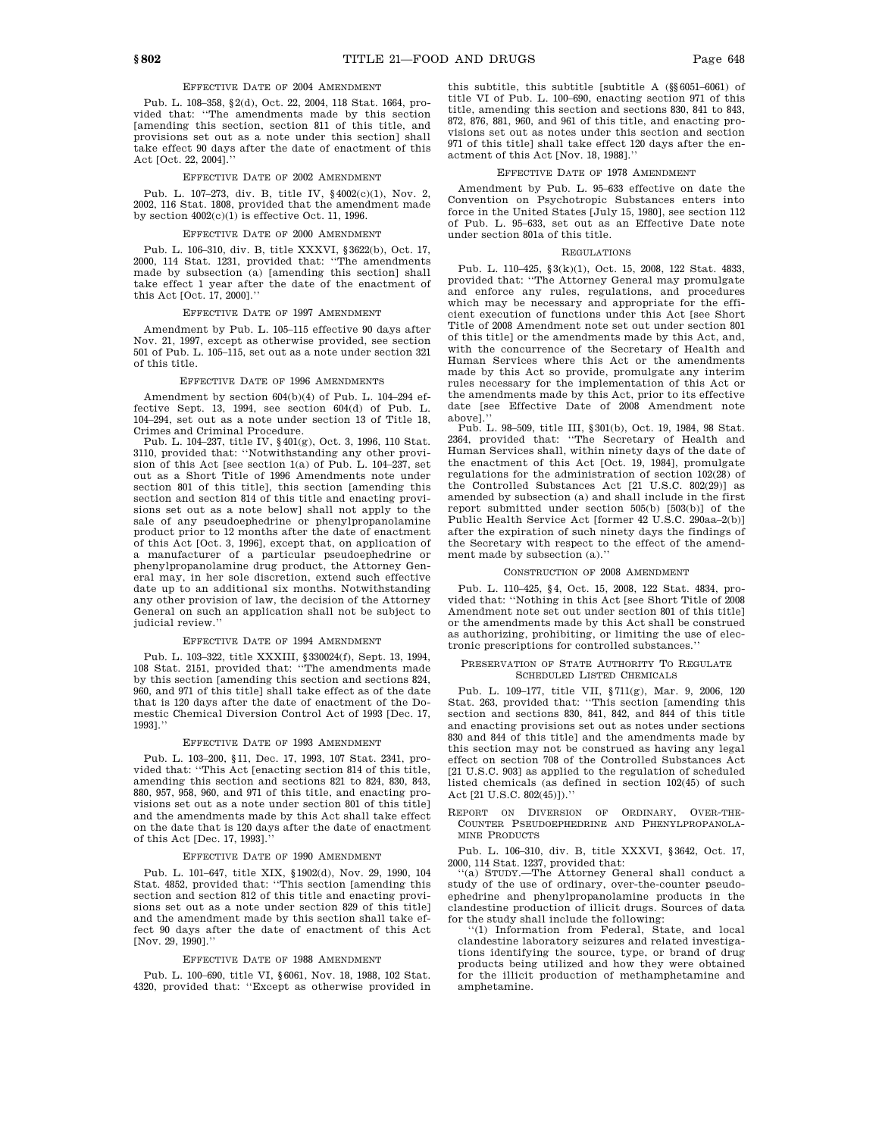# EFFECTIVE DATE OF 2004 AMENDMENT

Pub. L. 108–358, §2(d), Oct. 22, 2004, 118 Stat. 1664, provided that: ''The amendments made by this section [amending this section, section 811 of this title, and provisions set out as a note under this section] shall take effect 90 days after the date of enactment of this Act [Oct. 22, 2004].''

#### EFFECTIVE DATE OF 2002 AMENDMENT

Pub. L. 107–273, div. B, title IV, §4002(c)(1), Nov. 2, 2002, 116 Stat. 1808, provided that the amendment made by section  $4002(c)(1)$  is effective Oct. 11, 1996.

#### EFFECTIVE DATE OF 2000 AMENDMENT

Pub. L. 106–310, div. B, title XXXVI, §3622(b), Oct. 17, 2000, 114 Stat. 1231, provided that: ''The amendments made by subsection (a) [amending this section] shall take effect 1 year after the date of the enactment of this Act [Oct. 17, 2000].''

## EFFECTIVE DATE OF 1997 AMENDMENT

Amendment by Pub. L. 105–115 effective 90 days after Nov. 21, 1997, except as otherwise provided, see section 501 of Pub. L. 105–115, set out as a note under section 321 of this title.

#### EFFECTIVE DATE OF 1996 AMENDMENTS

Amendment by section 604(b)(4) of Pub. L. 104–294 effective Sept. 13, 1994, see section 604(d) of Pub. L. 104–294, set out as a note under section 13 of Title 18, Crimes and Criminal Procedure.

Pub. L. 104–237, title IV, §401(g), Oct. 3, 1996, 110 Stat. 3110, provided that: ''Notwithstanding any other provision of this Act [see section 1(a) of Pub. L. 104–237, set out as a Short Title of 1996 Amendments note under section 801 of this title], this section [amending this section and section 814 of this title and enacting provisions set out as a note below] shall not apply to the sale of any pseudoephedrine or phenylpropanolamine product prior to 12 months after the date of enactment of this Act [Oct. 3, 1996], except that, on application of a manufacturer of a particular pseudoephedrine or phenylpropanolamine drug product, the Attorney General may, in her sole discretion, extend such effective date up to an additional six months. Notwithstanding any other provision of law, the decision of the Attorney General on such an application shall not be subject to judicial review.''

### EFFECTIVE DATE OF 1994 AMENDMENT

Pub. L. 103–322, title XXXIII, §330024(f), Sept. 13, 1994, 108 Stat. 2151, provided that: ''The amendments made by this section [amending this section and sections 824, 960, and 971 of this title] shall take effect as of the date that is 120 days after the date of enactment of the Domestic Chemical Diversion Control Act of 1993 [Dec. 17, 1993].''

## EFFECTIVE DATE OF 1993 AMENDMENT

Pub. L. 103–200, §11, Dec. 17, 1993, 107 Stat. 2341, provided that: ''This Act [enacting section 814 of this title, amending this section and sections 821 to 824, 830, 843, 880, 957, 958, 960, and 971 of this title, and enacting provisions set out as a note under section 801 of this title] and the amendments made by this Act shall take effect on the date that is 120 days after the date of enactment of this Act [Dec. 17, 1993].''

#### EFFECTIVE DATE OF 1990 AMENDMENT

Pub. L. 101–647, title XIX, §1902(d), Nov. 29, 1990, 104 Stat. 4852, provided that: ''This section [amending this section and section 812 of this title and enacting provisions set out as a note under section 829 of this title] and the amendment made by this section shall take effect 90 days after the date of enactment of this Act [Nov. 29, 1990].''

#### EFFECTIVE DATE OF 1988 AMENDMENT

Pub. L. 100–690, title VI, §6061, Nov. 18, 1988, 102 Stat. 4320, provided that: ''Except as otherwise provided in

this subtitle, this subtitle [subtitle A (§§6051–6061) of title VI of Pub. L. 100–690, enacting section 971 of this title, amending this section and sections 830, 841 to 843, 872, 876, 881, 960, and 961 of this title, and enacting provisions set out as notes under this section and section 971 of this title] shall take effect 120 days after the enactment of this Act [Nov. 18, 1988].''

## EFFECTIVE DATE OF 1978 AMENDMENT

Amendment by Pub. L. 95–633 effective on date the Convention on Psychotropic Substances enters into force in the United States [July 15, 1980], see section 112 of Pub. L. 95–633, set out as an Effective Date note under section 801a of this title.

#### REGULATIONS

Pub. L. 110–425, §3(k)(1), Oct. 15, 2008, 122 Stat. 4833, provided that: ''The Attorney General may promulgate and enforce any rules, regulations, and procedures which may be necessary and appropriate for the efficient execution of functions under this Act [see Short Title of 2008 Amendment note set out under section 801 of this title] or the amendments made by this Act, and, with the concurrence of the Secretary of Health and Human Services where this Act or the amendments made by this Act so provide, promulgate any interim rules necessary for the implementation of this Act or the amendments made by this Act, prior to its effective date [see Effective Date of 2008 Amendment note above<sup>1</sup>.

Pub. L. 98–509, title III, §301(b), Oct. 19, 1984, 98 Stat. 2364, provided that: ''The Secretary of Health and Human Services shall, within ninety days of the date of the enactment of this Act [Oct. 19, 1984], promulgate regulations for the administration of section 102(28) of the Controlled Substances Act [21 U.S.C. 802(29)] as amended by subsection (a) and shall include in the first report submitted under section 505(b) [503(b)] of the Public Health Service Act [former 42 U.S.C. 290aa–2(b)] after the expiration of such ninety days the findings of the Secretary with respect to the effect of the amendment made by subsection (a).''

#### CONSTRUCTION OF 2008 AMENDMENT

Pub. L. 110–425, §4, Oct. 15, 2008, 122 Stat. 4834, provided that: ''Nothing in this Act [see Short Title of 2008 Amendment note set out under section 801 of this title] or the amendments made by this Act shall be construed as authorizing, prohibiting, or limiting the use of electronic prescriptions for controlled substances.''

### PRESERVATION OF STATE AUTHORITY TO REGULATE SCHEDULED LISTED CHEMICALS

Pub. L. 109–177, title VII, §711(g), Mar. 9, 2006, 120 Stat. 263, provided that: ''This section [amending this section and sections 830, 841, 842, and 844 of this title and enacting provisions set out as notes under sections 830 and 844 of this title] and the amendments made by this section may not be construed as having any legal effect on section 708 of the Controlled Substances Act [21 U.S.C. 903] as applied to the regulation of scheduled listed chemicals (as defined in section 102(45) of such Act [21 U.S.C. 802(45)]).''

REPORT ON DIVERSION OF ORDINARY, OVER-THE-COUNTER PSEUDOEPHEDRINE AND PHENYLPROPANOLA-MINE PRODUCTS

Pub. L. 106–310, div. B, title XXXVI, §3642, Oct. 17, 2000, 114 Stat. 1237, provided that:

''(a) STUDY.—The Attorney General shall conduct a study of the use of ordinary, over-the-counter pseudoephedrine and phenylpropanolamine products in the clandestine production of illicit drugs. Sources of data for the study shall include the following:

''(1) Information from Federal, State, and local clandestine laboratory seizures and related investigations identifying the source, type, or brand of drug products being utilized and how they were obtained for the illicit production of methamphetamine and amphetamine.